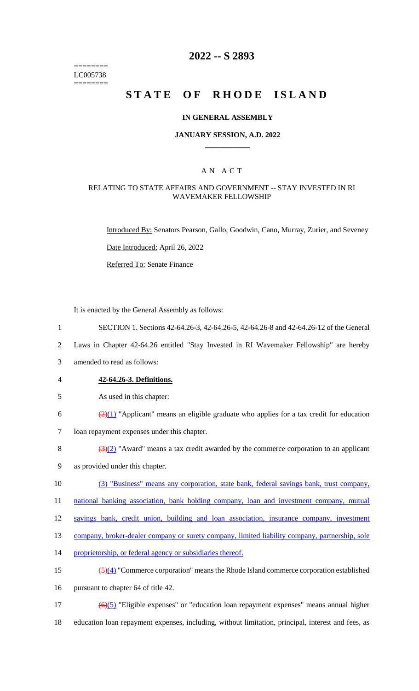======== LC005738 ========

# **2022 -- S 2893**

# **STATE OF RHODE ISLAND**

### **IN GENERAL ASSEMBLY**

### **JANUARY SESSION, A.D. 2022 \_\_\_\_\_\_\_\_\_\_\_\_**

### A N A C T

### RELATING TO STATE AFFAIRS AND GOVERNMENT -- STAY INVESTED IN RI WAVEMAKER FELLOWSHIP

Introduced By: Senators Pearson, Gallo, Goodwin, Cano, Murray, Zurier, and Seveney

Date Introduced: April 26, 2022

Referred To: Senate Finance

It is enacted by the General Assembly as follows:

- 1 SECTION 1. Sections 42-64.26-3, 42-64.26-5, 42-64.26-8 and 42-64.26-12 of the General
- 2 Laws in Chapter 42-64.26 entitled "Stay Invested in RI Wavemaker Fellowship" are hereby
- 3 amended to read as follows:
- 4 **42-64.26-3. Definitions.**
- 5 As used in this chapter:
- 6  $\frac{(2)(1)}{2}$  "Applicant" means an eligible graduate who applies for a tax credit for education 7 loan repayment expenses under this chapter.
- 8  $\left(\frac{3(2)}{2}\right)$  "Award" means a tax credit awarded by the commerce corporation to an applicant 9 as provided under this chapter.
- 10 (3) "Business" means any corporation, state bank, federal savings bank, trust company,
- 11 national banking association, bank holding company, loan and investment company, mutual
- 12 savings bank, credit union, building and loan association, insurance company, investment
- 13 company, broker-dealer company or surety company, limited liability company, partnership, sole
- 14 proprietorship, or federal agency or subsidiaries thereof.
- 15 (5)(4) "Commerce corporation" means the Rhode Island commerce corporation established 16 pursuant to chapter 64 of title 42.
- 17  $\left(\frac{\Theta(5)}{2}\right)$  "Eligible expenses" or "education loan repayment expenses" means annual higher 18 education loan repayment expenses, including, without limitation, principal, interest and fees, as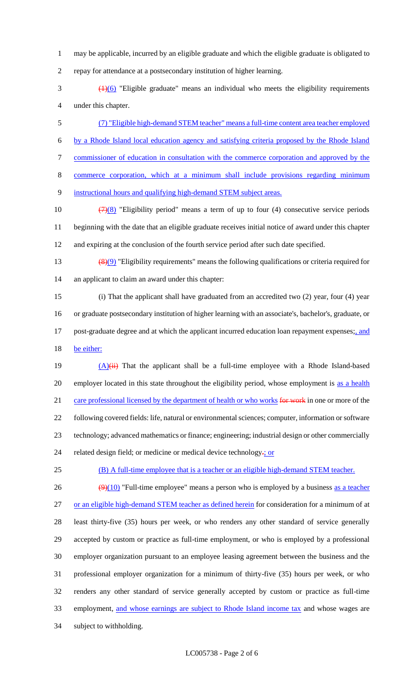- may be applicable, incurred by an eligible graduate and which the eligible graduate is obligated to repay for attendance at a postsecondary institution of higher learning.
- $\frac{(1)(6)}{2}$  "Eligible graduate" means an individual who meets the eligibility requirements under this chapter.
- (7) "Eligible high-demand STEM teacher" means a full-time content area teacher employed by a Rhode Island local education agency and satisfying criteria proposed by the Rhode Island commissioner of education in consultation with the commerce corporation and approved by the commerce corporation, which at a minimum shall include provisions regarding minimum instructional hours and qualifying high-demand STEM subject areas.
- 10  $\left(\frac{7}{8}\right)$  "Eligibility period" means a term of up to four (4) consecutive service periods beginning with the date that an eligible graduate receives initial notice of award under this chapter and expiring at the conclusion of the fourth service period after such date specified.
- 13  $(8)(9)$  "Eligibility requirements" means the following qualifications or criteria required for an applicant to claim an award under this chapter:
- (i) That the applicant shall have graduated from an accredited two (2) year, four (4) year or graduate postsecondary institution of higher learning with an associate's, bachelor's, graduate, or 17 post-graduate degree and at which the applicant incurred education loan repayment expenses;, and 18 be either:
- 19  $(A)(ii)$  That the applicant shall be a full-time employee with a Rhode Island-based 20 employer located in this state throughout the eligibility period, whose employment is as a health 21 care professional licensed by the department of health or who works for work in one or more of the following covered fields: life, natural or environmental sciences; computer, information or software technology; advanced mathematics or finance; engineering; industrial design or other commercially 24 related design field; or medicine or medical device technology-; or
- (B) A full-time employee that is a teacher or an eligible high-demand STEM teacher.
- 26  $\left(\frac{9}{10}\right)$  "Full-time employee" means a person who is employed by a business as a teacher or an eligible high-demand STEM teacher as defined herein for consideration for a minimum of at least thirty-five (35) hours per week, or who renders any other standard of service generally accepted by custom or practice as full-time employment, or who is employed by a professional employer organization pursuant to an employee leasing agreement between the business and the professional employer organization for a minimum of thirty-five (35) hours per week, or who renders any other standard of service generally accepted by custom or practice as full-time 33 employment, and whose earnings are subject to Rhode Island income tax and whose wages are subject to withholding.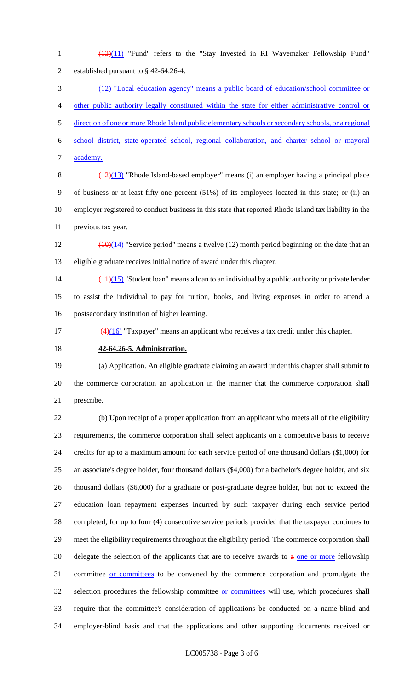(13)(11) "Fund" refers to the "Stay Invested in RI Wavemaker Fellowship Fund" established pursuant to § 42-64.26-4. (12) "Local education agency" means a public board of education/school committee or other public authority legally constituted within the state for either administrative control or direction of one or more Rhode Island public elementary schools or secondary schools, or a regional school district, state-operated school, regional collaboration, and charter school or mayoral academy.

 $\left(\frac{(12)(13)}{2}\right)$  "Rhode Island-based employer" means (i) an employer having a principal place of business or at least fifty-one percent (51%) of its employees located in this state; or (ii) an employer registered to conduct business in this state that reported Rhode Island tax liability in the previous tax year.

 $12 \left( \frac{(10)(14)}{2} \right)$  "Service period" means a twelve (12) month period beginning on the date that an eligible graduate receives initial notice of award under this chapter.

14  $\frac{(11)(15)}{11}$  "Student loan" means a loan to an individual by a public authority or private lender to assist the individual to pay for tuition, books, and living expenses in order to attend a postsecondary institution of higher learning.

17  $\left(4\right)\left(16\right)$  "Taxpayer" means an applicant who receives a tax credit under this chapter.

**42-64.26-5. Administration.**

 (a) Application. An eligible graduate claiming an award under this chapter shall submit to the commerce corporation an application in the manner that the commerce corporation shall prescribe.

 (b) Upon receipt of a proper application from an applicant who meets all of the eligibility requirements, the commerce corporation shall select applicants on a competitive basis to receive credits for up to a maximum amount for each service period of one thousand dollars (\$1,000) for an associate's degree holder, four thousand dollars (\$4,000) for a bachelor's degree holder, and six thousand dollars (\$6,000) for a graduate or post-graduate degree holder, but not to exceed the education loan repayment expenses incurred by such taxpayer during each service period completed, for up to four (4) consecutive service periods provided that the taxpayer continues to meet the eligibility requirements throughout the eligibility period. The commerce corporation shall 30 delegate the selection of the applicants that are to receive awards to  $a$  one or more fellowship committee or committees to be convened by the commerce corporation and promulgate the 32 selection procedures the fellowship committee or committees will use, which procedures shall require that the committee's consideration of applications be conducted on a name-blind and employer-blind basis and that the applications and other supporting documents received or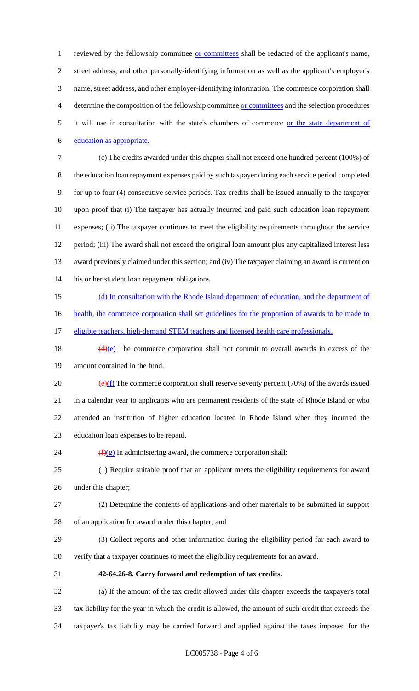1 reviewed by the fellowship committee or committees shall be redacted of the applicant's name, street address, and other personally-identifying information as well as the applicant's employer's name, street address, and other employer-identifying information. The commerce corporation shall determine the composition of the fellowship committee or committees and the selection procedures it will use in consultation with the state's chambers of commerce or the state department of education as appropriate.

 (c) The credits awarded under this chapter shall not exceed one hundred percent (100%) of the education loan repayment expenses paid by such taxpayer during each service period completed for up to four (4) consecutive service periods. Tax credits shall be issued annually to the taxpayer upon proof that (i) The taxpayer has actually incurred and paid such education loan repayment expenses; (ii) The taxpayer continues to meet the eligibility requirements throughout the service period; (iii) The award shall not exceed the original loan amount plus any capitalized interest less award previously claimed under this section; and (iv) The taxpayer claiming an award is current on his or her student loan repayment obligations.

(d) In consultation with the Rhode Island department of education, and the department of

16 health, the commerce corporation shall set guidelines for the proportion of awards to be made to

17 eligible teachers, high-demand STEM teachers and licensed health care professionals.

- 18  $(d)(e)$  The commerce corporation shall not commit to overall awards in excess of the amount contained in the fund.
- 20  $(e)(f)$  The commerce corporation shall reserve seventy percent (70%) of the awards issued in a calendar year to applicants who are permanent residents of the state of Rhode Island or who attended an institution of higher education located in Rhode Island when they incurred the education loan expenses to be repaid.
- 24  $(f)(g)$  In administering award, the commerce corporation shall:
- (1) Require suitable proof that an applicant meets the eligibility requirements for award under this chapter;
- (2) Determine the contents of applications and other materials to be submitted in support of an application for award under this chapter; and
- (3) Collect reports and other information during the eligibility period for each award to verify that a taxpayer continues to meet the eligibility requirements for an award.
- 
- **42-64.26-8. Carry forward and redemption of tax credits.**

 (a) If the amount of the tax credit allowed under this chapter exceeds the taxpayer's total tax liability for the year in which the credit is allowed, the amount of such credit that exceeds the taxpayer's tax liability may be carried forward and applied against the taxes imposed for the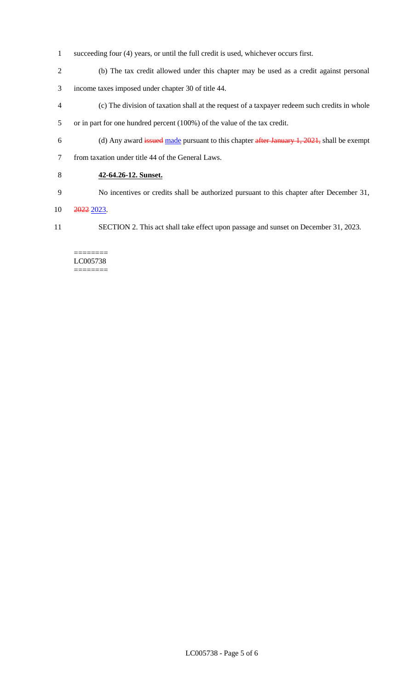- succeeding four (4) years, or until the full credit is used, whichever occurs first.
- (b) The tax credit allowed under this chapter may be used as a credit against personal
- income taxes imposed under chapter 30 of title 44.
- (c) The division of taxation shall at the request of a taxpayer redeem such credits in whole
- or in part for one hundred percent (100%) of the value of the tax credit.
- 6 (d) Any award issued made pursuant to this chapter after January 1, 2021, shall be exempt
- from taxation under title 44 of the General Laws.

# **42-64.26-12. Sunset.**

- No incentives or credits shall be authorized pursuant to this chapter after December 31,
- 2022 2023.
- SECTION 2. This act shall take effect upon passage and sunset on December 31, 2023.

#### ======== LC005738 ========